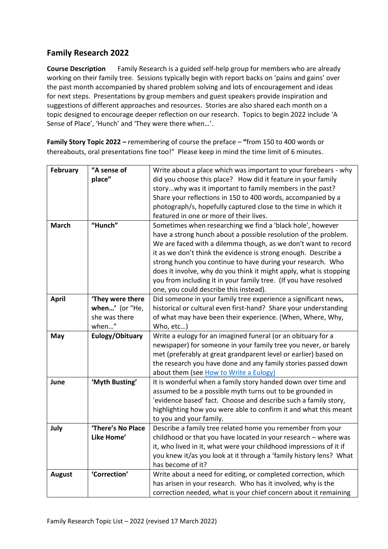## **Family Research 2022**

**Course Description** Family Research is a guided self-help group for members who are already working on their family tree. Sessions typically begin with report backs on 'pains and gains' over the past month accompanied by shared problem solving and lots of encouragement and ideas for next steps. Presentations by group members and guest speakers provide inspiration and suggestions of different approaches and resources. Stories are also shared each month on a topic designed to encourage deeper reflection on our research. Topics to begin 2022 include 'A Sense of Place', 'Hunch' and 'They were there when…'.

**Family Story Topic 2022 –** remembering of course the preface – **"**from 150 to 400 words or thereabouts, oral presentations fine too!" Please keep in mind the time limit of 6 minutes.

| <b>February</b> | "A sense of<br>place" | Write about a place which was important to your forebears - why<br>did you choose this place? How did it feature in your family<br>storywhy was it important to family members in the past?<br>Share your reflections in 150 to 400 words, accompanied by a<br>photograph/s, hopefully captured close to the time in which it                                                                                                                                                                                        |
|-----------------|-----------------------|----------------------------------------------------------------------------------------------------------------------------------------------------------------------------------------------------------------------------------------------------------------------------------------------------------------------------------------------------------------------------------------------------------------------------------------------------------------------------------------------------------------------|
|                 |                       | featured in one or more of their lives.                                                                                                                                                                                                                                                                                                                                                                                                                                                                              |
| <b>March</b>    | "Hunch"               | Sometimes when researching we find a 'black hole', however<br>have a strong hunch about a possible resolution of the problem.<br>We are faced with a dilemma though, as we don't want to record<br>it as we don't think the evidence is strong enough. Describe a<br>strong hunch you continue to have during your research. Who<br>does it involve, why do you think it might apply, what is stopping<br>you from including it in your family tree. (If you have resolved<br>one, you could describe this instead). |
| <b>April</b>    | 'They were there      | Did someone in your family tree experience a significant news,                                                                                                                                                                                                                                                                                                                                                                                                                                                       |
|                 | when' (or "He,        | historical or cultural even first-hand? Share your understanding                                                                                                                                                                                                                                                                                                                                                                                                                                                     |
|                 | she was there         | of what may have been their experience. (When, Where, Why,                                                                                                                                                                                                                                                                                                                                                                                                                                                           |
|                 | when"                 | Who, etc)                                                                                                                                                                                                                                                                                                                                                                                                                                                                                                            |
| May             | Eulogy/Obituary       | Write a eulogy for an imagined funeral (or an obituary for a<br>newspaper) for someone in your family tree you never, or barely<br>met (preferably at great grandparent level or earlier) based on<br>the research you have done and any family stories passed down<br>about them (see How to Write a Eulogy)                                                                                                                                                                                                        |
| June            | 'Myth Busting'        | It is wonderful when a family story handed down over time and<br>assumed to be a possible myth turns out to be grounded in<br>'evidence based' fact. Choose and describe such a family story,<br>highlighting how you were able to confirm it and what this meant<br>to you and your family.                                                                                                                                                                                                                         |
| July            | 'There's No Place     | Describe a family tree related home you remember from your                                                                                                                                                                                                                                                                                                                                                                                                                                                           |
|                 | Like Home'            | childhood or that you have located in your research - where was<br>it, who lived in it, what were your childhood impressions of it if<br>you knew it/as you look at it through a 'family history lens? What<br>has become of it?                                                                                                                                                                                                                                                                                     |
| <b>August</b>   | 'Correction'          | Write about a need for editing, or completed correction, which<br>has arisen in your research. Who has it involved, why is the<br>correction needed, what is your chief concern about it remaining                                                                                                                                                                                                                                                                                                                   |